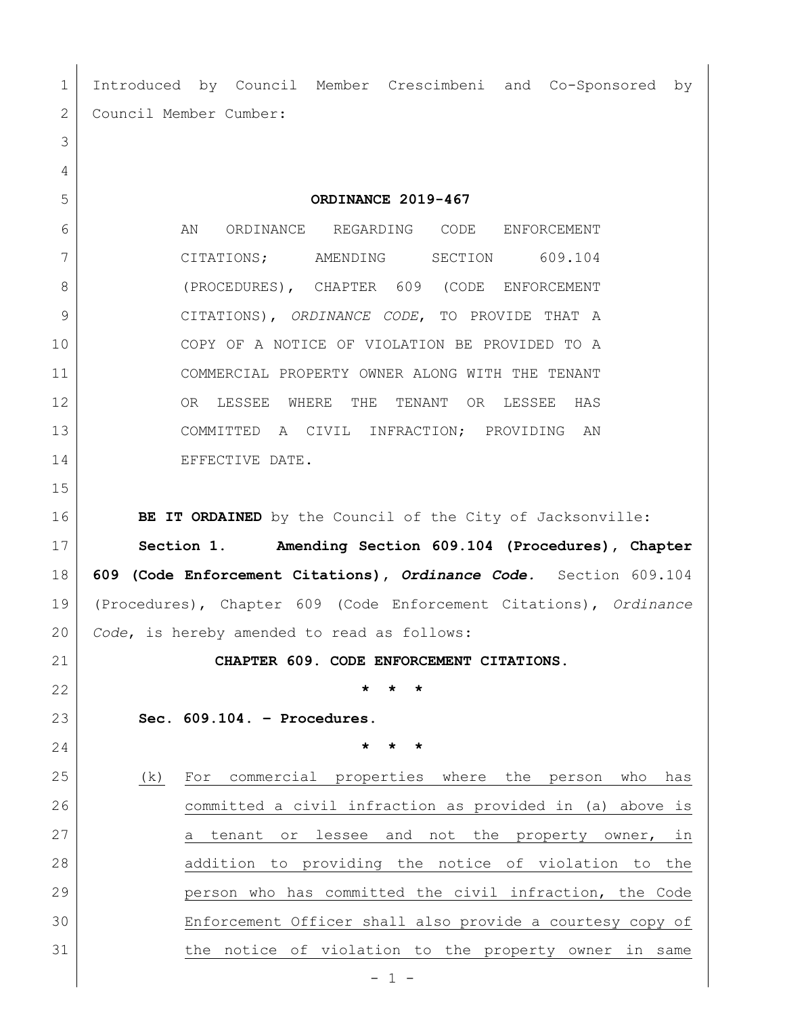Introduced by Council Member Crescimbeni and Co-Sponsored by 2 Council Member Cumber: **ORDINANCE 2019-467** 6 AN ORDINANCE REGARDING CODE ENFORCEMENT CITATIONS; AMENDING SECTION 609.104 8 (PROCEDURES), CHAPTER 609 (CODE ENFORCEMENT CITATIONS), *ORDINANCE CODE*, TO PROVIDE THAT A COPY OF A NOTICE OF VIOLATION BE PROVIDED TO A COMMERCIAL PROPERTY OWNER ALONG WITH THE TENANT OR LESSEE WHERE THE TENANT OR LESSEE HAS COMMITTED A CIVIL INFRACTION; PROVIDING AN 14 EFFECTIVE DATE. **BE IT ORDAINED** by the Council of the City of Jacksonville: **Section 1**. **Amending Section 609.104 (Procedures), Chapter 609 (Code Enforcement Citations),** *Ordinance Code.* Section 609.104 (Procedures), Chapter 609 (Code Enforcement Citations), *Ordinance Code*, is hereby amended to read as follows: **CHAPTER 609. CODE ENFORCEMENT CITATIONS. \* \* \* Sec. 609.104. – Procedures. \* \* \*** (k) For commercial properties where the person who has committed a civil infraction as provided in (a) above is 27 a tenant or lessee and not the property owner, in 28 addition to providing the notice of violation to the person who has committed the civil infraction, the Code Enforcement Officer shall also provide a courtesy copy of the notice of violation to the property owner in same